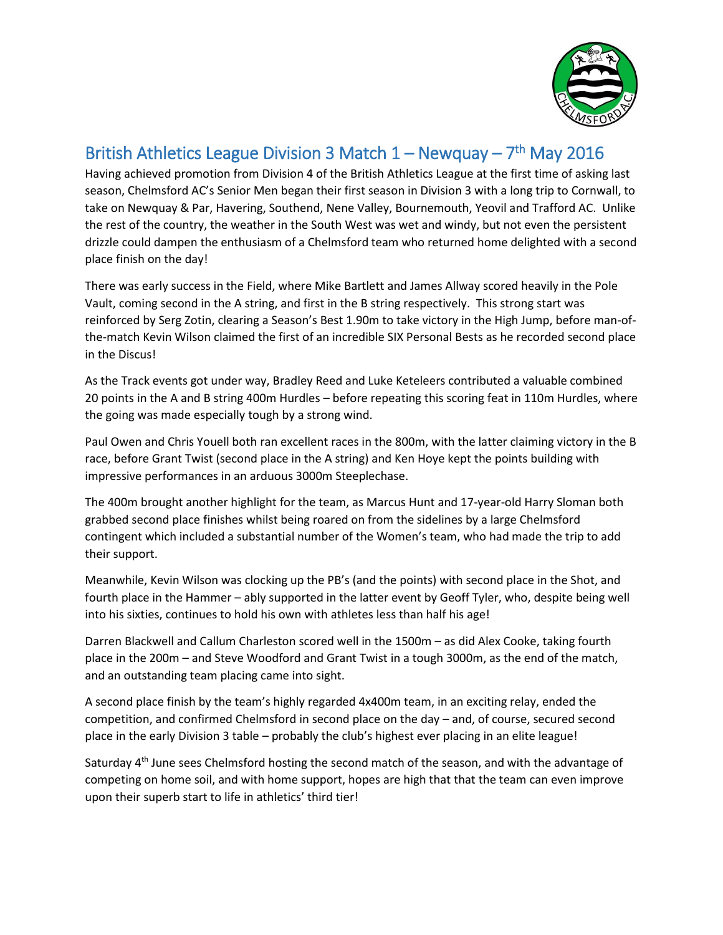

## British Athletics League Division 3 Match  $1 -$  Newquay –  $7<sup>th</sup>$  May 2016

Having achieved promotion from Division 4 of the British Athletics League at the first time of asking last season, Chelmsford AC's Senior Men began their first season in Division 3 with a long trip to Cornwall, to take on Newquay & Par, Havering, Southend, Nene Valley, Bournemouth, Yeovil and Trafford AC. Unlike the rest of the country, the weather in the South West was wet and windy, but not even the persistent drizzle could dampen the enthusiasm of a Chelmsford team who returned home delighted with a second place finish on the day!

There was early success in the Field, where Mike Bartlett and James Allway scored heavily in the Pole Vault, coming second in the A string, and first in the B string respectively. This strong start was reinforced by Serg Zotin, clearing a Season's Best 1.90m to take victory in the High Jump, before man-ofthe-match Kevin Wilson claimed the first of an incredible SIX Personal Bests as he recorded second place in the Discus!

As the Track events got under way, Bradley Reed and Luke Keteleers contributed a valuable combined 20 points in the A and B string 400m Hurdles – before repeating this scoring feat in 110m Hurdles, where the going was made especially tough by a strong wind.

Paul Owen and Chris Youell both ran excellent races in the 800m, with the latter claiming victory in the B race, before Grant Twist (second place in the A string) and Ken Hoye kept the points building with impressive performances in an arduous 3000m Steeplechase.

The 400m brought another highlight for the team, as Marcus Hunt and 17-year-old Harry Sloman both grabbed second place finishes whilst being roared on from the sidelines by a large Chelmsford contingent which included a substantial number of the Women's team, who had made the trip to add their support.

Meanwhile, Kevin Wilson was clocking up the PB's (and the points) with second place in the Shot, and fourth place in the Hammer – ably supported in the latter event by Geoff Tyler, who, despite being well into his sixties, continues to hold his own with athletes less than half his age!

Darren Blackwell and Callum Charleston scored well in the 1500m – as did Alex Cooke, taking fourth place in the 200m – and Steve Woodford and Grant Twist in a tough 3000m, as the end of the match, and an outstanding team placing came into sight.

A second place finish by the team's highly regarded 4x400m team, in an exciting relay, ended the competition, and confirmed Chelmsford in second place on the day – and, of course, secured second place in the early Division 3 table – probably the club's highest ever placing in an elite league!

Saturday 4<sup>th</sup> June sees Chelmsford hosting the second match of the season, and with the advantage of competing on home soil, and with home support, hopes are high that that the team can even improve upon their superb start to life in athletics' third tier!